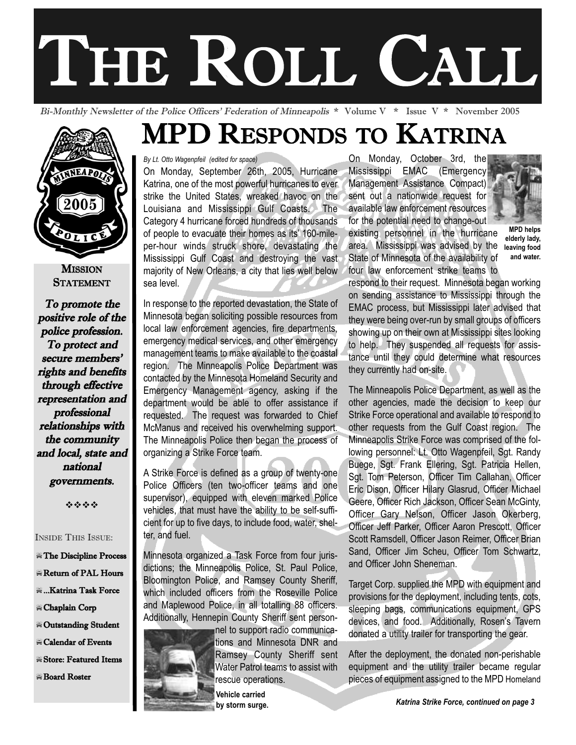# THE ROLL CALL

Bi-Monthly Newsletter of the Police Officers' Federation of Minneapolis \* Volume V \* Issue V \* November 2005



**MISSION STATEMENT** 

To promote the positive role of the police profession. To protect and secure members' rights and benefits through effective representation and professional relationships with the community and local, state and national governments.

----

#### INSIDE THIS ISSUE:

- -The Discipline Process
- -Return of PAL Hours
- $\equiv$  ...Katrina Task Force
- -Chaplain Corp
- -Outstanding Student
- $\equiv$  Calendar of Events
- -Store: Featured Items
- -Board Roster

## MPD RESPONDS TO KATRINA

*By Lt. Otto Wagenpfeil (edited for space)* 

On Monday, September 26th, 2005, Hurricane Katrina, one of the most powerful hurricanes to ever strike the United States, wreaked havoc on the Louisiana and Mississippi Gulf Coasts. The Category 4 hurricane forced hundreds of thousands of people to evacuate their homes as its' 160-mileper-hour winds struck shore, devastating the Mississippi Gulf Coast and destroying the vast majority of New Orleans, a city that lies well below sea level.

In response to the reported devastation, the State of Minnesota began soliciting possible resources from local law enforcement agencies, fire departments, emergency medical services, and other emergency management teams to make available to the coastal region. The Minneapolis Police Department was contacted by the Minnesota Homeland Security and Emergency Management agency, asking if the department would be able to offer assistance if requested. The request was forwarded to Chief McManus and received his overwhelming support. The Minneapolis Police then began the process of organizing a Strike Force team.

A Strike Force is defined as a group of twenty-one Police Officers (ten two-officer teams and one supervisor), equipped with eleven marked Police vehicles, that must have the ability to be self-sufficient for up to five days, to include food, water, shelter, and fuel.

Minnesota organized a Task Force from four jurisdictions; the Minneapolis Police, St. Paul Police, Bloomington Police, and Ramsey County Sheriff, which included officers from the Roseville Police and Maplewood Police, in all totalling 88 officers. Additionally, Hennepin County Sheriff sent person-



nel to support radio communications and Minnesota DNR and Ramsey County Sheriff sent Water Patrol teams to assist with rescue operations.

**Vehicle carried**

On Monday, October 3rd, the Mississippi EMAC (Emergency Management Assistance Compact) sent out a nationwide request for available law enforcement resources for the potential need to change-out

existing personnel in the hurricane area. Mississippi was advised by the State of Minnesota of the availability of four law enforcement strike teams to



**MPD helps elderly lady, leaving food and water.**

respond to their request. Minnesota began working on sending assistance to Mississippi through the EMAC process, but Mississippi later advised that they were being over-run by small groups of officers showing up on their own at Mississippi sites looking to help. They suspended all requests for assistance until they could determine what resources they currently had on-site.

The Minneapolis Police Department, as well as the other agencies, made the decision to keep our Strike Force operational and available to respond to other requests from the Gulf Coast region. The Minneapolis Strike Force was comprised of the following personnel: Lt. Otto Wagenpfeil, Sgt. Randy Buege, Sgt. Frank Ellering, Sgt. Patricia Hellen, Sgt. Tom Peterson, Officer Tim Callahan, Officer Eric Dison, Officer Hilary Glasrud, Officer Michael Geere, Officer Rich Jackson, Officer Sean McGinty, Officer Gary Nelson, Officer Jason Okerberg, Officer Jeff Parker, Officer Aaron Prescott, Officer Scott Ramsdell, Officer Jason Reimer, Officer Brian Sand, Officer Jim Scheu, Officer Tom Schwartz, and Officer John Sheneman.

Target Corp. supplied the MPD with equipment and provisions for the deployment, including tents, cots, sleeping bags, communications equipment, GPS devices, and food. Additionally, Rosen's Tavern donated a utility trailer for transporting the gear.

After the deployment, the donated non-perishable equipment and the utility trailer became regular pieces of equipment assigned to the MPD Homeland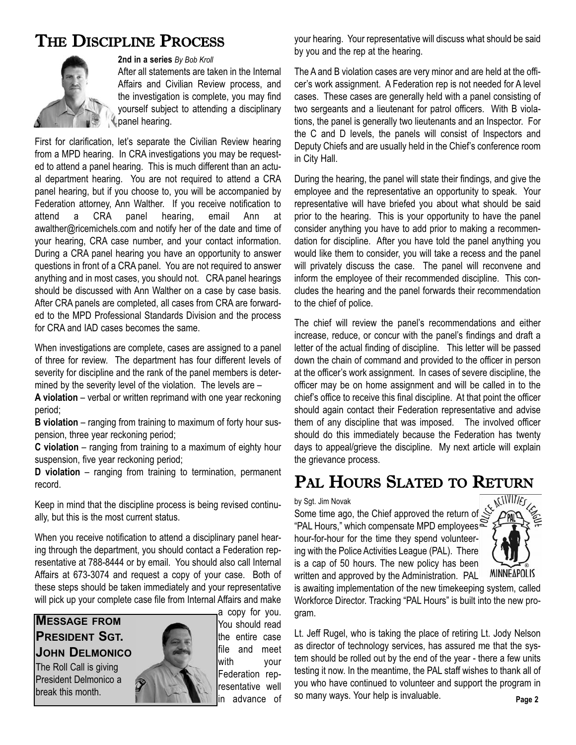## THE DISCIPLINE PROCESS



#### **2nd in a series** *By Bob Kroll*

After all statements are taken in the Internal Affairs and Civilian Review process, and the investigation is complete, you may find yourself subject to attending a disciplinary panel hearing.

First for clarification, let's separate the Civilian Review hearing from a MPD hearing. In CRA investigations you may be requested to attend a panel hearing. This is much different than an actual department hearing. You are not required to attend a CRA panel hearing, but if you choose to, you will be accompanied by Federation attorney, Ann Walther. If you receive notification to attend a CRA panel hearing, email Ann at awalther@ricemichels.com and notify her of the date and time of your hearing, CRA case number, and your contact information. During a CRA panel hearing you have an opportunity to answer questions in front of a CRA panel. You are not required to answer anything and in most cases, you should not. CRA panel hearings should be discussed with Ann Walther on a case by case basis. After CRA panels are completed, all cases from CRA are forwarded to the MPD Professional Standards Division and the process for CRA and IAD cases becomes the same.

When investigations are complete, cases are assigned to a panel of three for review. The department has four different levels of severity for discipline and the rank of the panel members is determined by the severity level of the violation. The levels are –

**A violation** – verbal or written reprimand with one year reckoning period;

**B violation** – ranging from training to maximum of forty hour suspension, three year reckoning period;

**C violation** – ranging from training to a maximum of eighty hour suspension, five year reckoning period;

**D violation** – ranging from training to termination, permanent record.

Keep in mind that the discipline process is being revised continually, but this is the most current status.

When you receive notification to attend a disciplinary panel hearing through the department, you should contact a Federation representative at 788-8444 or by email. You should also call Internal Affairs at 673-3074 and request a copy of your case. Both of these steps should be taken immediately and your representative will pick up your complete case file from Internal Affairs and make

#### **MESSAGE FROM PRESIDENT SGT. JOHN DELMONICO**

The Roll Call is giving President Delmonico a break this month.



a copy for you. You should read the entire case file and meet with your Federation representative well in advance of your hearing. Your representative will discuss what should be said by you and the rep at the hearing.

The A and B violation cases are very minor and are held at the officer's work assignment. A Federation rep is not needed for A level cases. These cases are generally held with a panel consisting of two sergeants and a lieutenant for patrol officers. With B violations, the panel is generally two lieutenants and an Inspector. For the C and D levels, the panels will consist of Inspectors and Deputy Chiefs and are usually held in the Chief's conference room in City Hall.

During the hearing, the panel will state their findings, and give the employee and the representative an opportunity to speak. Your representative will have briefed you about what should be said prior to the hearing. This is your opportunity to have the panel consider anything you have to add prior to making a recommendation for discipline. After you have told the panel anything you would like them to consider, you will take a recess and the panel will privately discuss the case. The panel will reconvene and inform the employee of their recommended discipline. This concludes the hearing and the panel forwards their recommendation to the chief of police.

The chief will review the panel's recommendations and either increase, reduce, or concur with the panel's findings and draft a letter of the actual finding of discipline. This letter will be passed down the chain of command and provided to the officer in person at the officer's work assignment. In cases of severe discipline, the officer may be on home assignment and will be called in to the chief's office to receive this final discipline. At that point the officer should again contact their Federation representative and advise them of any discipline that was imposed. The involved officer should do this immediately because the Federation has twenty days to appeal/grieve the discipline. My next article will explain the grievance process.

## PAL HOURS SLATED TO RETURN

by Sgt. Jim Novak

Some time ago, the Chief approved the return of "PAL Hours," which compensate MPD employees hour-for-hour for the time they spend volunteering with the Police Activities League (PAL). There is a cap of 50 hours. The new policy has been written and approved by the Administration. PAL



is awaiting implementation of the new timekeeping system, called Workforce Director. Tracking "PAL Hours" is built into the new program.

Lt. Jeff Rugel, who is taking the place of retiring Lt. Jody Nelson as director of technology services, has assured me that the system should be rolled out by the end of the year - there a few units testing it now. In the meantime, the PAL staff wishes to thank all of you who have continued to volunteer and support the program in so many ways. Your help is invaluable. **Page 2**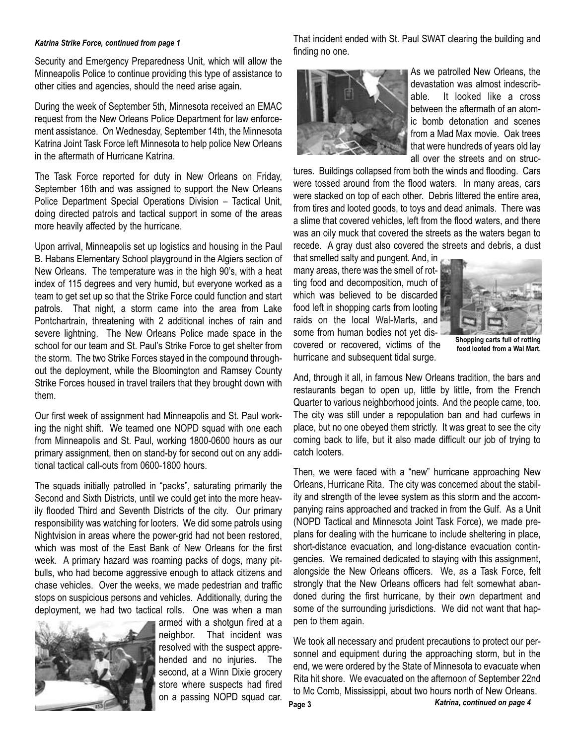#### *Katrina Strike Force, continued from page 1*

Security and Emergency Preparedness Unit, which will allow the Minneapolis Police to continue providing this type of assistance to other cities and agencies, should the need arise again.

During the week of September 5th, Minnesota received an EMAC request from the New Orleans Police Department for law enforcement assistance. On Wednesday, September 14th, the Minnesota Katrina Joint Task Force left Minnesota to help police New Orleans in the aftermath of Hurricane Katrina.

The Task Force reported for duty in New Orleans on Friday, September 16th and was assigned to support the New Orleans Police Department Special Operations Division – Tactical Unit, doing directed patrols and tactical support in some of the areas more heavily affected by the hurricane.

Upon arrival, Minneapolis set up logistics and housing in the Paul B. Habans Elementary School playground in the Algiers section of New Orleans. The temperature was in the high 90's, with a heat index of 115 degrees and very humid, but everyone worked as a team to get set up so that the Strike Force could function and start patrols. That night, a storm came into the area from Lake Pontchartrain, threatening with 2 additional inches of rain and severe lightning. The New Orleans Police made space in the school for our team and St. Paul's Strike Force to get shelter from the storm. The two Strike Forces stayed in the compound throughout the deployment, while the Bloomington and Ramsey County Strike Forces housed in travel trailers that they brought down with them.

Our first week of assignment had Minneapolis and St. Paul working the night shift. We teamed one NOPD squad with one each from Minneapolis and St. Paul, working 1800-0600 hours as our primary assignment, then on stand-by for second out on any additional tactical call-outs from 0600-1800 hours.

The squads initially patrolled in "packs", saturating primarily the Second and Sixth Districts, until we could get into the more heavily flooded Third and Seventh Districts of the city. Our primary responsibility was watching for looters. We did some patrols using Nightvision in areas where the power-grid had not been restored, which was most of the East Bank of New Orleans for the first week. A primary hazard was roaming packs of dogs, many pitbulls, who had become aggressive enough to attack citizens and chase vehicles. Over the weeks, we made pedestrian and traffic stops on suspicious persons and vehicles. Additionally, during the deployment, we had two tactical rolls. One was when a man



armed with a shotgun fired at a neighbor. That incident was resolved with the suspect apprehended and no injuries. The second, at a Winn Dixie grocery store where suspects had fired on a passing NOPD squad car. That incident ended with St. Paul SWAT clearing the building and finding no one.



As we patrolled New Orleans, the devastation was almost indescribable. It looked like a cross between the aftermath of an atomic bomb detonation and scenes from a Mad Max movie. Oak trees that were hundreds of years old lay all over the streets and on struc-

tures. Buildings collapsed from both the winds and flooding. Cars were tossed around from the flood waters. In many areas, cars were stacked on top of each other. Debris littered the entire area, from tires and looted goods, to toys and dead animals. There was a slime that covered vehicles, left from the flood waters, and there was an oily muck that covered the streets as the waters began to recede. A gray dust also covered the streets and debris, a dust

that smelled salty and pungent. And, in many areas, there was the smell of rotting food and decomposition, much of which was believed to be discarded food left in shopping carts from looting raids on the local Wal-Marts, and some from human bodies not yet discovered or recovered, victims of the hurricane and subsequent tidal surge.



**Shopping carts full of rotting food looted from a Wal Mart.**

And, through it all, in famous New Orleans tradition, the bars and restaurants began to open up, little by little, from the French Quarter to various neighborhood joints. And the people came, too. The city was still under a repopulation ban and had curfews in place, but no one obeyed them strictly. It was great to see the city coming back to life, but it also made difficult our job of trying to catch looters.

Then, we were faced with a "new" hurricane approaching New Orleans, Hurricane Rita. The city was concerned about the stability and strength of the levee system as this storm and the accompanying rains approached and tracked in from the Gulf. As a Unit (NOPD Tactical and Minnesota Joint Task Force), we made preplans for dealing with the hurricane to include sheltering in place, short-distance evacuation, and long-distance evacuation contingencies. We remained dedicated to staying with this assignment, alongside the New Orleans officers. We, as a Task Force, felt strongly that the New Orleans officers had felt somewhat abandoned during the first hurricane, by their own department and some of the surrounding jurisdictions. We did not want that happen to them again.

We took all necessary and prudent precautions to protect our personnel and equipment during the approaching storm, but in the end, we were ordered by the State of Minnesota to evacuate when Rita hit shore. We evacuated on the afternoon of September 22nd to Mc Comb, Mississippi, about two hours north of New Orleans.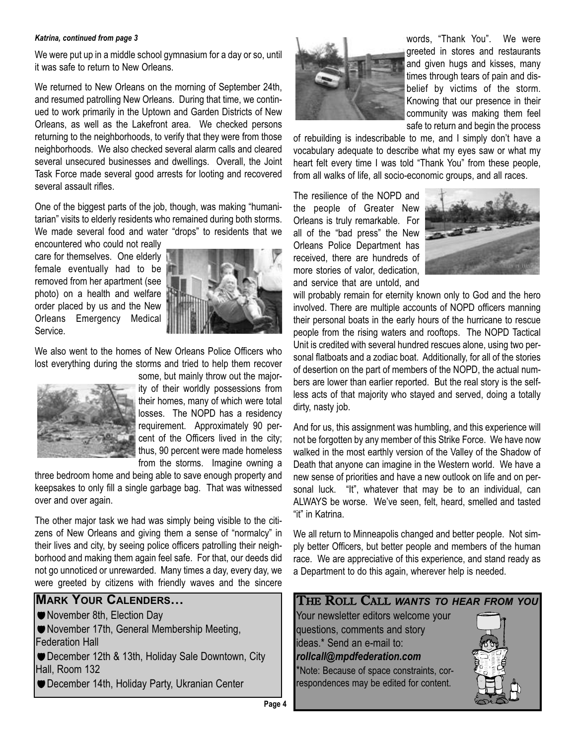#### *Katrina, continued from page 3*

We were put up in a middle school gymnasium for a day or so, until it was safe to return to New Orleans.

We returned to New Orleans on the morning of September 24th, and resumed patrolling New Orleans. During that time, we continued to work primarily in the Uptown and Garden Districts of New Orleans, as well as the Lakefront area. We checked persons returning to the neighborhoods, to verify that they were from those neighborhoods. We also checked several alarm calls and cleared several unsecured businesses and dwellings. Overall, the Joint Task Force made several good arrests for looting and recovered several assault rifles.

One of the biggest parts of the job, though, was making "humanitarian" visits to elderly residents who remained during both storms. We made several food and water "drops" to residents that we

encountered who could not really care for themselves. One elderly female eventually had to be removed from her apartment (see photo) on a health and welfare order placed by us and the New Orleans Emergency Medical Service.



We also went to the homes of New Orleans Police Officers who lost everything during the storms and tried to help them recover



some, but mainly throw out the majority of their worldly possessions from their homes, many of which were total losses. The NOPD has a residency requirement. Approximately 90 percent of the Officers lived in the city; thus, 90 percent were made homeless from the storms. Imagine owning a

three bedroom home and being able to save enough property and keepsakes to only fill a single garbage bag. That was witnessed over and over again.

The other major task we had was simply being visible to the citizens of New Orleans and giving them a sense of "normalcy" in their lives and city, by seeing police officers patrolling their neighborhood and making them again feel safe. For that, our deeds did not go unnoticed or unrewarded. Many times a day, every day, we were greeted by citizens with friendly waves and the sincere

## **MARK YOUR CALENDERS…**

- November 8th, Election Day
- November 17th, General Membership Meeting, Federation Hall
- December 12th & 13th, Holiday Sale Downtown, City Hall, Room 132
- December 14th, Holiday Party, Ukranian Center



words, "Thank You". We were greeted in stores and restaurants and given hugs and kisses, many times through tears of pain and disbelief by victims of the storm. Knowing that our presence in their community was making them feel safe to return and begin the process

of rebuilding is indescribable to me, and I simply don't have a vocabulary adequate to describe what my eyes saw or what my heart felt every time I was told "Thank You" from these people, from all walks of life, all socio-economic groups, and all races.

The resilience of the NOPD and the people of Greater New Orleans is truly remarkable. For all of the "bad press" the New Orleans Police Department has received, there are hundreds of more stories of valor, dedication, and service that are untold, and



will probably remain for eternity known only to God and the hero involved. There are multiple accounts of NOPD officers manning their personal boats in the early hours of the hurricane to rescue people from the rising waters and rooftops. The NOPD Tactical Unit is credited with several hundred rescues alone, using two personal flatboats and a zodiac boat. Additionally, for all of the stories of desertion on the part of members of the NOPD, the actual numbers are lower than earlier reported. But the real story is the selfless acts of that majority who stayed and served, doing a totally dirty, nasty job.

And for us, this assignment was humbling, and this experience will not be forgotten by any member of this Strike Force. We have now walked in the most earthly version of the Valley of the Shadow of Death that anyone can imagine in the Western world. We have a new sense of priorities and have a new outlook on life and on personal luck. "It", whatever that may be to an individual, can ALWAYS be worse. We've seen, felt, heard, smelled and tasted "it" in Katrina.

We all return to Minneapolis changed and better people. Not simply better Officers, but better people and members of the human race. We are appreciative of this experience, and stand ready as a Department to do this again, wherever help is needed.

#### THE ROLL CALL *WANTS TO HEAR FROM YOU*

Your newsletter editors welcome your questions, comments and story ideas.\* Send an e-mail to: *rollcall@mpdfederation.com* \*Note: Because of space constraints, cor-

respondences may be edited for content.

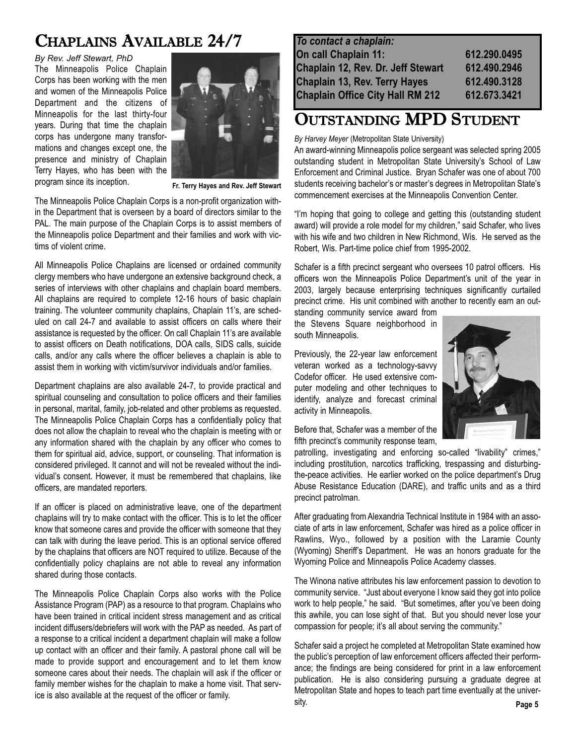## CHAPLAINS AVAILABLE 24/7

*By Rev. Jeff Stewart, PhD* The Minneapolis Police Chaplain Corps has been working with the men and women of the Minneapolis Police Department and the citizens of Minneapolis for the last thirty-four years. During that time the chaplain corps has undergone many transformations and changes except one, the presence and ministry of Chaplain Terry Hayes, who has been with the program since its inception.



**Fr. Terry Hayes and Rev. Jeff Stewart**

The Minneapolis Police Chaplain Corps is a non-profit organization within the Department that is overseen by a board of directors similar to the PAL. The main purpose of the Chaplain Corps is to assist members of the Minneapolis police Department and their families and work with victims of violent crime.

All Minneapolis Police Chaplains are licensed or ordained community clergy members who have undergone an extensive background check, a series of interviews with other chaplains and chaplain board members. All chaplains are required to complete 12-16 hours of basic chaplain training. The volunteer community chaplains, Chaplain 11's, are scheduled on call 24-7 and available to assist officers on calls where their assistance is requested by the officer. On call Chaplain 11's are available to assist officers on Death notifications, DOA calls, SIDS calls, suicide calls, and/or any calls where the officer believes a chaplain is able to assist them in working with victim/survivor individuals and/or families.

Department chaplains are also available 24-7, to provide practical and spiritual counseling and consultation to police officers and their families in personal, marital, family, job-related and other problems as requested. The Minneapolis Police Chaplain Corps has a confidentially policy that does not allow the chaplain to reveal who the chaplain is meeting with or any information shared with the chaplain by any officer who comes to them for spiritual aid, advice, support, or counseling. That information is considered privileged. It cannot and will not be revealed without the individual's consent. However, it must be remembered that chaplains, like officers, are mandated reporters.

If an officer is placed on administrative leave, one of the department chaplains will try to make contact with the officer. This is to let the officer know that someone cares and provide the officer with someone that they can talk with during the leave period. This is an optional service offered by the chaplains that officers are NOT required to utilize. Because of the confidentially policy chaplains are not able to reveal any information shared during those contacts.

The Minneapolis Police Chaplain Corps also works with the Police Assistance Program (PAP) as a resource to that program. Chaplains who have been trained in critical incident stress management and as critical incident diffusers/debriefers will work with the PAP as needed. As part of a response to a critical incident a department chaplain will make a follow up contact with an officer and their family. A pastoral phone call will be made to provide support and encouragement and to let them know someone cares about their needs. The chaplain will ask if the officer or family member wishes for the chaplain to make a home visit. That service is also available at the request of the officer or family.

| 612.290.0495 |
|--------------|
| 612.490.2946 |
| 612.490.3128 |
| 612.673.3421 |
|              |

### OUTSTANDING MPD STUDENT

#### *By Harvey Meyer* (Metropolitan State University)

An award-winning Minneapolis police sergeant was selected spring 2005 outstanding student in Metropolitan State University's School of Law Enforcement and Criminal Justice. Bryan Schafer was one of about 700 students receiving bachelor's or master's degrees in Metropolitan State's commencement exercises at the Minneapolis Convention Center.

"I'm hoping that going to college and getting this (outstanding student award) will provide a role model for my children," said Schafer, who lives with his wife and two children in New Richmond, Wis. He served as the Robert, Wis. Part-time police chief from 1995-2002.

Schafer is a fifth precinct sergeant who oversees 10 patrol officers. His officers won the Minneapolis Police Department's unit of the year in 2003, largely because enterprising techniques significantly curtailed precinct crime. His unit combined with another to recently earn an out-

standing community service award from the Stevens Square neighborhood in south Minneapolis.

Previously, the 22-year law enforcement veteran worked as a technology-savvy Codefor officer. He used extensive computer modeling and other techniques to identify, analyze and forecast criminal activity in Minneapolis.



Before that, Schafer was a member of the fifth precinct's community response team,

patrolling, investigating and enforcing so-called "livability" crimes," including prostitution, narcotics trafficking, trespassing and disturbingthe-peace activities. He earlier worked on the police department's Drug Abuse Resistance Education (DARE), and traffic units and as a third precinct patrolman.

After graduating from Alexandria Technical Institute in 1984 with an associate of arts in law enforcement, Schafer was hired as a police officer in Rawlins, Wyo., followed by a position with the Laramie County (Wyoming) Sheriff's Department. He was an honors graduate for the Wyoming Police and Minneapolis Police Academy classes.

The Winona native attributes his law enforcement passion to devotion to community service. "Just about everyone I know said they got into police work to help people," he said. "But sometimes, after you've been doing this awhile, you can lose sight of that. But you should never lose your compassion for people; it's all about serving the community."

Schafer said a project he completed at Metropolitan State examined how the public's perception of law enforcement officers affected their performance; the findings are being considered for print in a law enforcement publication. He is also considering pursuing a graduate degree at Metropolitan State and hopes to teach part time eventually at the university.